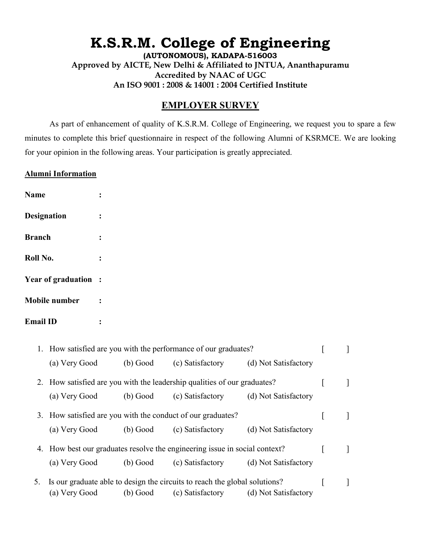## **K.S.R.M. College of Engineering**

**(AUTONOMOUS), KADAPA-516003 Approved by AICTE, New Delhi & Affiliated to JNTUA, Ananthapuramu Accredited by NAAC of UGC An ISO 9001 : 2008 & 14001 : 2004 Certified Institute**

## **EMPLOYER SURVEY**

As part of enhancement of quality of K.S.R.M. College of Engineering, we request you to spare a few minutes to complete this brief questionnaire in respect of the following Alumni of KSRMCE. We are looking for your opinion in the following areas. Your participation is greatly appreciated.

## **Alumni Information**

| <b>Name</b>               |  |
|---------------------------|--|
| <b>Designation</b>        |  |
| <b>Branch</b>             |  |
| Roll No.                  |  |
| <b>Year of graduation</b> |  |
| <b>Mobile number</b>      |  |
| <b>Email ID</b>           |  |

|    | 1. How satisfied are you with the performance of our graduates?            |          |                  |                      |  |  |
|----|----------------------------------------------------------------------------|----------|------------------|----------------------|--|--|
|    | (a) Very Good                                                              | (b) Good | (c) Satisfactory | (d) Not Satisfactory |  |  |
|    | 2. How satisfied are you with the leadership qualities of our graduates?   |          |                  |                      |  |  |
|    | (a) Very Good                                                              | (b) Good | (c) Satisfactory | (d) Not Satisfactory |  |  |
|    | 3. How satisfied are you with the conduct of our graduates?                |          |                  |                      |  |  |
|    | (a) Very Good                                                              | (b) Good | (c) Satisfactory | (d) Not Satisfactory |  |  |
|    | 4. How best our graduates resolve the engineering issue in social context? |          |                  |                      |  |  |
|    | (a) Very Good                                                              | (b) Good | (c) Satisfactory | (d) Not Satisfactory |  |  |
| 5. | Is our graduate able to design the circuits to reach the global solutions? |          |                  |                      |  |  |
|    | (a) Very Good                                                              | (b) Good | (c) Satisfactory | (d) Not Satisfactory |  |  |